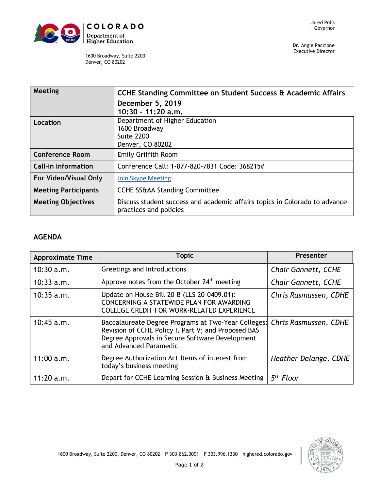

Dr. Angie Paccione Executive Director

1600 Broadway, Suite 2200 Denver, CO 80202

| Meeting                     | CCHE Standing Committee on Student Success & Academic Affairs<br>December 5, 2019                    |  |
|-----------------------------|------------------------------------------------------------------------------------------------------|--|
|                             | $10:30 - 11:20$ a.m.                                                                                 |  |
| Location                    | Department of Higher Education<br>1600 Broadway<br><b>Suite 2200</b><br>Denver, CO 80202             |  |
| <b>Conference Room</b>      | Emily Griffith Room                                                                                  |  |
| <b>Call-In Information</b>  | Conference Call: 1-877-820-7831 Code: 368215#                                                        |  |
| For Video/Visual Only       | <b>Join Skype Meeting</b>                                                                            |  |
| <b>Meeting Participants</b> | <b>CCHE SS&amp;AA Standing Committee</b>                                                             |  |
| <b>Meeting Objectives</b>   | Discuss student success and academic affairs topics in Colorado to advance<br>practices and policies |  |

## **AGENDA**

| <b>Approximate Time</b> | <b>Topic</b>                                                                                                                                                                            | Presenter                  |
|-------------------------|-----------------------------------------------------------------------------------------------------------------------------------------------------------------------------------------|----------------------------|
| $10:30$ a.m.            | Greetings and Introductions                                                                                                                                                             | <b>Chair Gannett, CCHE</b> |
| $10:33$ a.m.            | Approve notes from the October 24 <sup>th</sup> meeting                                                                                                                                 | <b>Chair Gannett, CCHE</b> |
| $10:35$ a.m.            | Update on House Bill 20-B (LLS 20-0409.01):<br>CONCERNING A STATEWIDE PLAN FOR AWARDING<br>COLLEGE CREDIT FOR WORK-RELATED EXPERIENCE                                                   | Chris Rasmussen, CDHE      |
| 10:45 a.m.              | Baccalaureate Degree Programs at Two-Year Colleges:<br>Revision of CCHE Policy I, Part V; and Proposed BAS<br>Degree Approvals in Secure Software Development<br>and Advanced Paramedic | Chris Rasmussen, CDHE      |
| 11:00 a.m.              | Degree Authorization Act Items of interest from<br>today's business meeting                                                                                                             | Heather Delange, CDHE      |
| 11:20 a.m.              | Depart for CCHE Learning Session & Business Meeting                                                                                                                                     | 5 <sup>th</sup> Floor      |